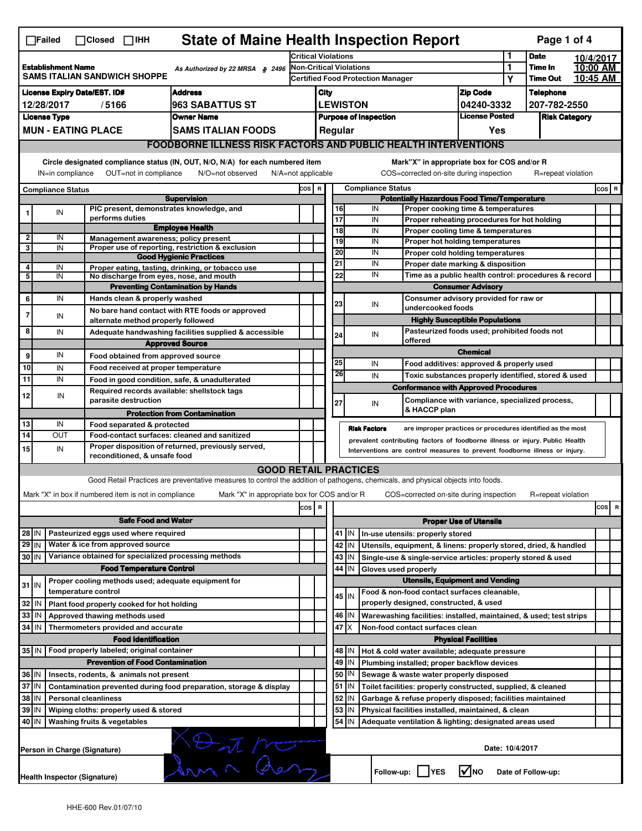|                                                                                                                                                                                                                                                                                       | <b>State of Maine Health Inspection Report</b><br>Page 1 of 4<br>$\Box$ Failed<br>$\Box$ Closed $\Box$ IHH |                                                                            |                                                                                                                                   |                                                                            |                                                       |                                                                                                                                                            |                 |                                                                  |                                                                                           |                               |                      |                    |           |          |  |  |
|---------------------------------------------------------------------------------------------------------------------------------------------------------------------------------------------------------------------------------------------------------------------------------------|------------------------------------------------------------------------------------------------------------|----------------------------------------------------------------------------|-----------------------------------------------------------------------------------------------------------------------------------|----------------------------------------------------------------------------|-------------------------------------------------------|------------------------------------------------------------------------------------------------------------------------------------------------------------|-----------------|------------------------------------------------------------------|-------------------------------------------------------------------------------------------|-------------------------------|----------------------|--------------------|-----------|----------|--|--|
|                                                                                                                                                                                                                                                                                       |                                                                                                            |                                                                            |                                                                                                                                   | <b>Critical Violations</b>                                                 |                                                       |                                                                                                                                                            |                 |                                                                  |                                                                                           | 1                             | <b>Date</b>          |                    | 10/4/2017 |          |  |  |
| <b>Establishment Name</b><br>As Authorized by 22 MRSA § 2496<br><b>SAMS ITALIAN SANDWICH SHOPPE</b>                                                                                                                                                                                   |                                                                                                            |                                                                            |                                                                                                                                   | <b>Non-Critical Violations</b><br><b>Certified Food Protection Manager</b> |                                                       |                                                                                                                                                            |                 |                                                                  |                                                                                           | 1                             | Time In              |                    | 10:00 AM  |          |  |  |
|                                                                                                                                                                                                                                                                                       |                                                                                                            |                                                                            |                                                                                                                                   |                                                                            |                                                       |                                                                                                                                                            |                 |                                                                  |                                                                                           |                               | Υ                    | <b>Time Out</b>    |           | 10:45 AM |  |  |
|                                                                                                                                                                                                                                                                                       | <b>License Expiry Date/EST. ID#</b><br><b>Address</b>                                                      |                                                                            |                                                                                                                                   |                                                                            |                                                       | <b>Zip Code</b><br>City                                                                                                                                    |                 |                                                                  |                                                                                           |                               |                      | <b>Telephone</b>   |           |          |  |  |
| 963 SABATTUS ST<br>12/28/2017<br>/5166                                                                                                                                                                                                                                                |                                                                                                            |                                                                            |                                                                                                                                   |                                                                            | <b>LEWISTON</b><br>04240-3332                         |                                                                                                                                                            |                 |                                                                  |                                                                                           | 207-782-2550                  |                      |                    |           |          |  |  |
|                                                                                                                                                                                                                                                                                       | <b>License Type</b><br><b>Owner Name</b>                                                                   |                                                                            |                                                                                                                                   |                                                                            | <b>License Posted</b><br><b>Purpose of Inspection</b> |                                                                                                                                                            |                 |                                                                  |                                                                                           |                               | <b>Risk Category</b> |                    |           |          |  |  |
|                                                                                                                                                                                                                                                                                       |                                                                                                            | <b>MUN - EATING PLACE</b>                                                  | SAMS ITALIAN FOODS                                                                                                                |                                                                            |                                                       |                                                                                                                                                            | Regular         |                                                                  |                                                                                           | Yes                           |                      |                    |           |          |  |  |
|                                                                                                                                                                                                                                                                                       |                                                                                                            |                                                                            | <b>FOODBORNE ILLNESS RISK FACTORS AND PUBLIC HEALTH INTERVENTIONS</b>                                                             |                                                                            |                                                       |                                                                                                                                                            |                 |                                                                  |                                                                                           |                               |                      |                    |           |          |  |  |
| Circle designated compliance status (IN, OUT, N/O, N/A) for each numbered item<br>Mark"X" in appropriate box for COS and/or R<br>OUT=not in compliance<br>COS=corrected on-site during inspection<br>IN=in compliance<br>N/O=not observed<br>N/A=not applicable<br>R=repeat violation |                                                                                                            |                                                                            |                                                                                                                                   |                                                                            |                                                       |                                                                                                                                                            |                 |                                                                  |                                                                                           |                               |                      |                    |           |          |  |  |
|                                                                                                                                                                                                                                                                                       |                                                                                                            |                                                                            |                                                                                                                                   | COS R                                                                      |                                                       |                                                                                                                                                            |                 | <b>Compliance Status</b>                                         |                                                                                           |                               |                      |                    |           | $cos$ R  |  |  |
|                                                                                                                                                                                                                                                                                       | <b>Compliance Status</b>                                                                                   |                                                                            | <b>Supervision</b>                                                                                                                |                                                                            |                                                       |                                                                                                                                                            |                 |                                                                  | <b>Potentially Hazardous Food Time/Temperature</b>                                        |                               |                      |                    |           |          |  |  |
|                                                                                                                                                                                                                                                                                       | ${\sf IN}$                                                                                                 | PIC present, demonstrates knowledge, and                                   |                                                                                                                                   |                                                                            |                                                       | 16                                                                                                                                                         |                 | IN                                                               | Proper cooking time & temperatures                                                        |                               |                      |                    |           |          |  |  |
|                                                                                                                                                                                                                                                                                       |                                                                                                            | performs duties                                                            | <b>Employee Health</b>                                                                                                            |                                                                            |                                                       | 17                                                                                                                                                         |                 | IN                                                               | Proper reheating procedures for hot holding                                               |                               |                      |                    |           |          |  |  |
| 2                                                                                                                                                                                                                                                                                     | IN                                                                                                         | Management awareness; policy present                                       |                                                                                                                                   |                                                                            |                                                       | $\overline{18}$                                                                                                                                            |                 | IN                                                               | Proper cooling time & temperatures                                                        |                               |                      |                    |           |          |  |  |
| 3                                                                                                                                                                                                                                                                                     | IN                                                                                                         |                                                                            | Proper use of reporting, restriction & exclusion                                                                                  |                                                                            |                                                       | 19<br>20                                                                                                                                                   |                 | IN<br>IN                                                         | Proper hot holding temperatures                                                           |                               |                      |                    |           |          |  |  |
|                                                                                                                                                                                                                                                                                       |                                                                                                            |                                                                            | <b>Good Hygienic Practices</b>                                                                                                    |                                                                            |                                                       | 21                                                                                                                                                         |                 | IN                                                               | Proper cold holding temperatures                                                          |                               |                      |                    |           |          |  |  |
| 4<br>5                                                                                                                                                                                                                                                                                | IN<br>IN                                                                                                   | No discharge from eyes, nose, and mouth                                    | Proper eating, tasting, drinking, or tobacco use                                                                                  |                                                                            |                                                       | 22                                                                                                                                                         |                 | IN                                                               | Proper date marking & disposition<br>Time as a public health control: procedures & record |                               |                      |                    |           |          |  |  |
|                                                                                                                                                                                                                                                                                       |                                                                                                            |                                                                            | <b>Preventing Contamination by Hands</b>                                                                                          |                                                                            |                                                       |                                                                                                                                                            |                 |                                                                  |                                                                                           | <b>Consumer Advisory</b>      |                      |                    |           |          |  |  |
| 6                                                                                                                                                                                                                                                                                     | IN                                                                                                         | Hands clean & properly washed                                              |                                                                                                                                   |                                                                            |                                                       |                                                                                                                                                            |                 |                                                                  | Consumer advisory provided for raw or                                                     |                               |                      |                    |           |          |  |  |
| $\overline{7}$                                                                                                                                                                                                                                                                        | IN                                                                                                         |                                                                            | No bare hand contact with RTE foods or approved                                                                                   |                                                                            |                                                       | 23                                                                                                                                                         |                 | IN                                                               | undercooked foods                                                                         |                               |                      |                    |           |          |  |  |
|                                                                                                                                                                                                                                                                                       |                                                                                                            | alternate method properly followed                                         |                                                                                                                                   |                                                                            |                                                       |                                                                                                                                                            |                 |                                                                  | <b>Highly Susceptible Populations</b>                                                     |                               |                      |                    |           |          |  |  |
| 8                                                                                                                                                                                                                                                                                     | IN                                                                                                         |                                                                            | Adequate handwashing facilities supplied & accessible                                                                             |                                                                            |                                                       | 24                                                                                                                                                         |                 | IN                                                               | Pasteurized foods used; prohibited foods not<br>offered                                   |                               |                      |                    |           |          |  |  |
|                                                                                                                                                                                                                                                                                       |                                                                                                            |                                                                            | <b>Approved Source</b>                                                                                                            |                                                                            |                                                       |                                                                                                                                                            |                 |                                                                  |                                                                                           | <b>Chemical</b>               |                      |                    |           |          |  |  |
| 9                                                                                                                                                                                                                                                                                     | IN                                                                                                         | Food obtained from approved source                                         |                                                                                                                                   |                                                                            |                                                       | 25                                                                                                                                                         |                 | IN                                                               | Food additives: approved & properly used                                                  |                               |                      |                    |           |          |  |  |
| 10<br>11                                                                                                                                                                                                                                                                              | IN<br>IN                                                                                                   | Food received at proper temperature                                        |                                                                                                                                   |                                                                            |                                                       | 26                                                                                                                                                         |                 | IN                                                               | Toxic substances properly identified, stored & used                                       |                               |                      |                    |           |          |  |  |
|                                                                                                                                                                                                                                                                                       |                                                                                                            | Required records available: shellstock tags                                | Food in good condition, safe, & unadulterated                                                                                     |                                                                            |                                                       |                                                                                                                                                            |                 |                                                                  | <b>Conformance with Approved Procedures</b>                                               |                               |                      |                    |           |          |  |  |
| 12                                                                                                                                                                                                                                                                                    | IN                                                                                                         | parasite destruction                                                       |                                                                                                                                   |                                                                            |                                                       | 27                                                                                                                                                         |                 | IN                                                               | Compliance with variance, specialized process,<br>& HACCP plan                            |                               |                      |                    |           |          |  |  |
| 13                                                                                                                                                                                                                                                                                    | IN                                                                                                         |                                                                            | <b>Protection from Contamination</b>                                                                                              |                                                                            |                                                       |                                                                                                                                                            |                 |                                                                  |                                                                                           |                               |                      |                    |           |          |  |  |
| $\overline{14}$                                                                                                                                                                                                                                                                       | OUT                                                                                                        | Food separated & protected                                                 | Food-contact surfaces: cleaned and sanitized                                                                                      |                                                                            |                                                       |                                                                                                                                                            |                 | <b>Risk Factors</b>                                              | are improper practices or procedures identified as the most                               |                               |                      |                    |           |          |  |  |
| 15                                                                                                                                                                                                                                                                                    | IN                                                                                                         |                                                                            | Proper disposition of returned, previously served,                                                                                |                                                                            |                                                       | prevalent contributing factors of foodborne illness or injury. Public Health<br>Interventions are control measures to prevent foodborne illness or injury. |                 |                                                                  |                                                                                           |                               |                      |                    |           |          |  |  |
|                                                                                                                                                                                                                                                                                       |                                                                                                            | reconditioned, & unsafe food                                               |                                                                                                                                   |                                                                            |                                                       |                                                                                                                                                            |                 |                                                                  |                                                                                           |                               |                      |                    |           |          |  |  |
|                                                                                                                                                                                                                                                                                       |                                                                                                            |                                                                            | <b>GOOD RETAIL PRACTICES</b>                                                                                                      |                                                                            |                                                       |                                                                                                                                                            |                 |                                                                  |                                                                                           |                               |                      |                    |           |          |  |  |
|                                                                                                                                                                                                                                                                                       |                                                                                                            |                                                                            | Good Retail Practices are preventative measures to control the addition of pathogens, chemicals, and physical objects into foods. |                                                                            |                                                       |                                                                                                                                                            |                 |                                                                  |                                                                                           |                               |                      |                    |           |          |  |  |
|                                                                                                                                                                                                                                                                                       |                                                                                                            | Mark "X" in box if numbered item is not in compliance                      | Mark "X" in appropriate box for COS and/or R                                                                                      |                                                                            |                                                       |                                                                                                                                                            |                 |                                                                  | COS=corrected on-site during inspection                                                   |                               |                      | R=repeat violation |           |          |  |  |
|                                                                                                                                                                                                                                                                                       |                                                                                                            |                                                                            |                                                                                                                                   | cos                                                                        | $\overline{\mathbf{R}}$                               |                                                                                                                                                            |                 |                                                                  |                                                                                           |                               |                      |                    |           | cos<br>R |  |  |
|                                                                                                                                                                                                                                                                                       |                                                                                                            | <b>Safe Food and Water</b>                                                 |                                                                                                                                   |                                                                            |                                                       |                                                                                                                                                            |                 |                                                                  |                                                                                           | <b>Proper Use of Utensils</b> |                      |                    |           |          |  |  |
| $28$ IN                                                                                                                                                                                                                                                                               |                                                                                                            | Pasteurized eggs used where required                                       |                                                                                                                                   |                                                                            |                                                       |                                                                                                                                                            | 41   IN         |                                                                  | In-use utensils: properly stored                                                          |                               |                      |                    |           |          |  |  |
| Water & ice from approved source<br>$29$ IN                                                                                                                                                                                                                                           |                                                                                                            |                                                                            |                                                                                                                                   |                                                                            |                                                       | 42<br>IN                                                                                                                                                   |                 | Utensils, equipment, & linens: properly stored, dried, & handled |                                                                                           |                               |                      |                    |           |          |  |  |
| Variance obtained for specialized processing methods<br>30 IN                                                                                                                                                                                                                         |                                                                                                            |                                                                            |                                                                                                                                   |                                                                            |                                                       |                                                                                                                                                            | 43   IN         |                                                                  | Single-use & single-service articles: properly stored & used                              |                               |                      |                    |           |          |  |  |
| <b>Food Temperature Control</b>                                                                                                                                                                                                                                                       |                                                                                                            |                                                                            |                                                                                                                                   |                                                                            |                                                       | 44                                                                                                                                                         | IN              |                                                                  | Gloves used properly                                                                      |                               |                      |                    |           |          |  |  |
| $31$ IN                                                                                                                                                                                                                                                                               |                                                                                                            | Proper cooling methods used; adequate equipment for<br>temperature control |                                                                                                                                   |                                                                            |                                                       |                                                                                                                                                            |                 |                                                                  | <b>Utensils, Equipment and Vending</b><br>Food & non-food contact surfaces cleanable,     |                               |                      |                    |           |          |  |  |
| 32                                                                                                                                                                                                                                                                                    | IN                                                                                                         | Plant food properly cooked for hot holding                                 |                                                                                                                                   |                                                                            |                                                       |                                                                                                                                                            | $45$ IN         |                                                                  | properly designed, constructed, & used                                                    |                               |                      |                    |           |          |  |  |
| 33                                                                                                                                                                                                                                                                                    | IN                                                                                                         | Approved thawing methods used                                              |                                                                                                                                   |                                                                            |                                                       |                                                                                                                                                            | 46 IN           |                                                                  | Warewashing facilities: installed, maintained, & used; test strips                        |                               |                      |                    |           |          |  |  |
| 34<br><b>IN</b><br>Thermometers provided and accurate                                                                                                                                                                                                                                 |                                                                                                            |                                                                            |                                                                                                                                   |                                                                            |                                                       |                                                                                                                                                            | 47 I X          |                                                                  | Non-food contact surfaces clean                                                           |                               |                      |                    |           |          |  |  |
|                                                                                                                                                                                                                                                                                       |                                                                                                            | <b>Food Identification</b>                                                 |                                                                                                                                   |                                                                            |                                                       |                                                                                                                                                            |                 |                                                                  |                                                                                           | <b>Physical Facilities</b>    |                      |                    |           |          |  |  |
|                                                                                                                                                                                                                                                                                       |                                                                                                            | 35 IN   Food properly labeled; original container                          |                                                                                                                                   |                                                                            |                                                       |                                                                                                                                                            | 48   IN         |                                                                  | Hot & cold water available; adequate pressure                                             |                               |                      |                    |           |          |  |  |
| <b>Prevention of Food Contamination</b>                                                                                                                                                                                                                                               |                                                                                                            |                                                                            |                                                                                                                                   |                                                                            |                                                       | 49<br>IN<br>Plumbing installed; proper backflow devices                                                                                                    |                 |                                                                  |                                                                                           |                               |                      |                    |           |          |  |  |
| 36 IN<br>Insects, rodents, & animals not present                                                                                                                                                                                                                                      |                                                                                                            |                                                                            |                                                                                                                                   |                                                                            | 50                                                    | IN                                                                                                                                                         |                 | Sewage & waste water properly disposed                           |                                                                                           |                               |                      |                    |           |          |  |  |
| 37 IN<br>Contamination prevented during food preparation, storage & display                                                                                                                                                                                                           |                                                                                                            |                                                                            |                                                                                                                                   |                                                                            |                                                       |                                                                                                                                                            | $51$ $\vert$ IN |                                                                  | Toilet facilities: properly constructed, supplied, & cleaned                              |                               |                      |                    |           |          |  |  |
| 38<br>IN<br><b>Personal cleanliness</b>                                                                                                                                                                                                                                               |                                                                                                            |                                                                            |                                                                                                                                   |                                                                            |                                                       | 52                                                                                                                                                         | IN              |                                                                  | Garbage & refuse properly disposed; facilities maintained                                 |                               |                      |                    |           |          |  |  |
| 39<br>Wiping cloths: properly used & stored<br>IN                                                                                                                                                                                                                                     |                                                                                                            |                                                                            |                                                                                                                                   |                                                                            |                                                       | 53                                                                                                                                                         | ΙN              |                                                                  | Physical facilities installed, maintained, & clean                                        |                               |                      |                    |           |          |  |  |
|                                                                                                                                                                                                                                                                                       | 54<br>40 IN<br>Washing fruits & vegetables<br>Adequate ventilation & lighting; designated areas used<br>ΙN |                                                                            |                                                                                                                                   |                                                                            |                                                       |                                                                                                                                                            |                 |                                                                  |                                                                                           |                               |                      |                    |           |          |  |  |
| Sun alem<br>Person in Charge (Signature)                                                                                                                                                                                                                                              |                                                                                                            |                                                                            |                                                                                                                                   |                                                                            |                                                       |                                                                                                                                                            | Date: 10/4/2017 |                                                                  |                                                                                           |                               |                      |                    |           |          |  |  |
|                                                                                                                                                                                                                                                                                       | Health Inspector (Signature)                                                                               |                                                                            |                                                                                                                                   |                                                                            |                                                       |                                                                                                                                                            |                 |                                                                  | Follow-up: YES                                                                            | <b>M</b> NO                   |                      | Date of Follow-up: |           |          |  |  |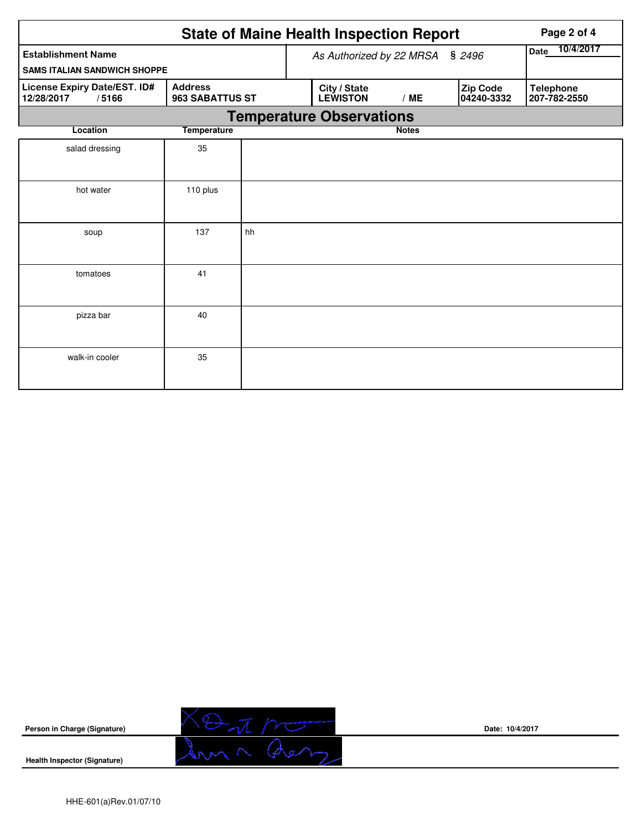|                                                     |                                   |                                 | <b>State of Maine Health Inspection Report</b> | Page 2 of 4  |                        |                                  |
|-----------------------------------------------------|-----------------------------------|---------------------------------|------------------------------------------------|--------------|------------------------|----------------------------------|
| <b>Establishment Name</b>                           |                                   | As Authorized by 22 MRSA § 2496 | 10/4/2017<br><b>Date</b>                       |              |                        |                                  |
| <b>SAMS ITALIAN SANDWICH SHOPPE</b>                 |                                   |                                 |                                                |              |                        |                                  |
| License Expiry Date/EST. ID#<br>12/28/2017<br>/5166 | <b>Address</b><br>963 SABATTUS ST |                                 | City / State<br><b>LEWISTON</b>                | /ME          | Zip Code<br>04240-3332 | <b>Telephone</b><br>207-782-2550 |
|                                                     |                                   |                                 | <b>Temperature Observations</b>                |              |                        |                                  |
| Location                                            | <b>Temperature</b>                |                                 |                                                | <b>Notes</b> |                        |                                  |
| salad dressing                                      | 35                                |                                 |                                                |              |                        |                                  |
| hot water                                           | 110 plus                          |                                 |                                                |              |                        |                                  |
| soup                                                | 137                               | hh                              |                                                |              |                        |                                  |
| tomatoes                                            | 41                                |                                 |                                                |              |                        |                                  |
| pizza bar                                           | 40                                |                                 |                                                |              |                        |                                  |
| walk-in cooler                                      | 35                                |                                 |                                                |              |                        |                                  |



**Health Inspector (Signature)** 



**Date: 10/4/2017**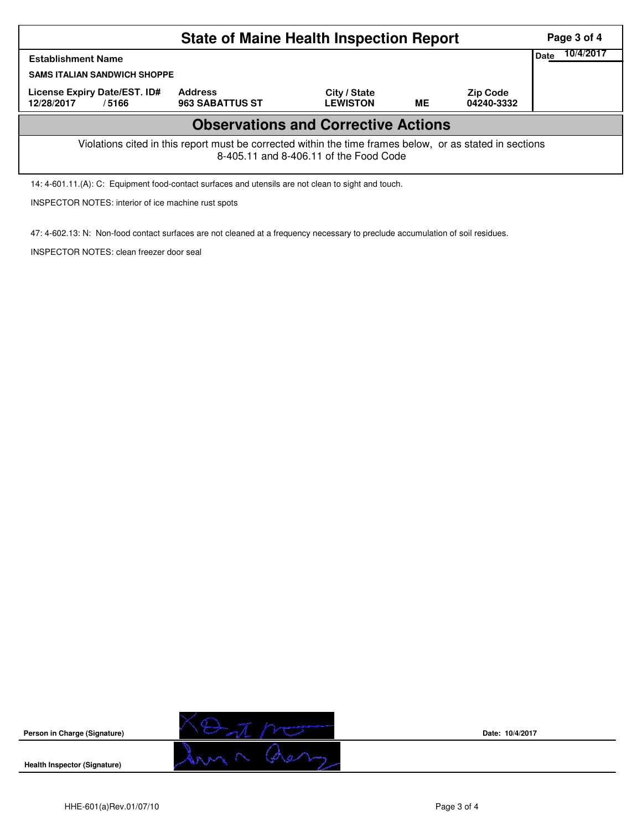|                                                                                                                                                    | Page 3 of 4                              |                                 |           |                               |      |           |  |  |  |
|----------------------------------------------------------------------------------------------------------------------------------------------------|------------------------------------------|---------------------------------|-----------|-------------------------------|------|-----------|--|--|--|
| <b>Establishment Name</b><br><b>SAMS ITALIAN SANDWICH SHOPPE</b>                                                                                   |                                          |                                 |           |                               | Date | 10/4/2017 |  |  |  |
| License Expiry Date/EST. ID#<br>12/28/2017<br>/5166                                                                                                | <b>Address</b><br><b>963 SABATTUS ST</b> | City / State<br><b>LEWISTON</b> | <b>ME</b> | <b>Zip Code</b><br>04240-3332 |      |           |  |  |  |
| <b>Observations and Corrective Actions</b>                                                                                                         |                                          |                                 |           |                               |      |           |  |  |  |
| Violations cited in this report must be corrected within the time frames below, or as stated in sections<br>8-405.11 and 8-406.11 of the Food Code |                                          |                                 |           |                               |      |           |  |  |  |

14: 4-601.11.(A): C: Equipment food-contact surfaces and utensils are not clean to sight and touch.

INSPECTOR NOTES: interior of ice machine rust spots

47: 4-602.13: N: Non-food contact surfaces are not cleaned at a frequency necessary to preclude accumulation of soil residues.

INSPECTOR NOTES: clean freezer door seal



**Date: 10/4/2017**

**Health Inspector (Signature)** 

**Person in Charge (Signature)**